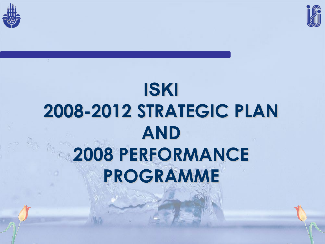



## **ISKI 2008-2012 STRATEGIC PLAN AND 2008 PERFORMANCE PROGRAMME**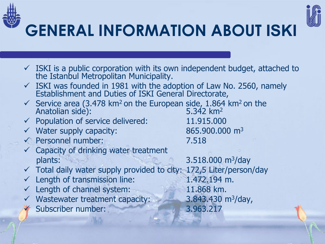



### **GENERAL INFORMATION ABOUT ISKI**

- $\checkmark$  ISKI is a public corporation with its own independent budget, attached to the Istanbul Metropolitan Municipality.
- $\checkmark$  ISKI was founded in 1981 with the adoption of Law No. 2560, namely Establishment and Duties of ISKI General Directorate,
- Service area (3.478 km<sup>2</sup> on the European side, 1.864 km<sup>2</sup> on the Anatolian side): Anatolian side):
- $\checkmark$  Population of service delivered: 11.915.000
- $\sqrt{2}$  Water supply capacity: 865.900.000 m<sup>3</sup>
- Personnel number: 7.518
- $\checkmark$  Capacity of drinking water treatment plants: 2.518.000 m<sup>3</sup>/day
- $\checkmark$  Total daily water supply provided to city: 172,5 Liter/person/day
- $\checkmark$  Length of transmission line: 1.472.194 m.
- $\checkmark$  Length of channel system: 11.868 km.
- $\checkmark$  Wastewater treatment capacity:  $\frac{3.843.430 \text{ m}^3}{\text{day}}$
- Subscriber number: 3.963.217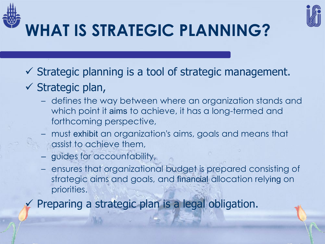



- $\checkmark$  Strategic plan,
	- defines the way between where an organization stands and which point it aims to achieve, it has a long-termed and forthcoming perspective,
	- must exhibit an organization's aims, goals and means that assist to achieve them,
	- guides for accountability,
	- ensures that organizational budget is prepared consisting of strategic aims and goals, and financial allocation relying on priorities.

Preparing a strategic plan is a legal obligation.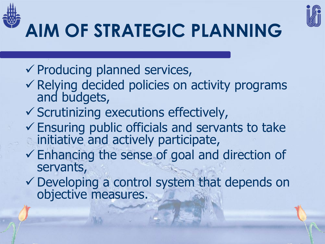



# **AIM OF STRATEGIC PLANNING**

- $\checkmark$  Producing planned services,
- $\checkmark$  Relying decided policies on activity programs and budgets,
- $\checkmark$  Scrutinizing executions effectively,
- $\checkmark$  Ensuring public officials and servants to take initiative and actively participate,
- Enhancing the sense of goal and direction of servants,
- Developing a control system that depends on objective measures.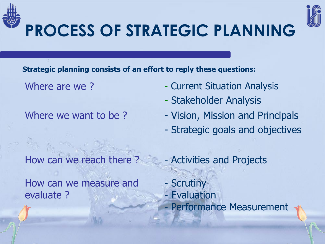



## **PROCESS OF STRATEGIC PLANNING**

**Strategic planning consists of an effort to reply these questions:**

Where are we? - Current Situation Analysis

- Stakeholder Analysis
- Where we want to be ? The Vision, Mission and Principals
	- Strategic goals and objectives

How can we measure and evaluate ?

- How can we reach there ? Activities and Projects - Scrutiny
	- Evaluation Performance Measurement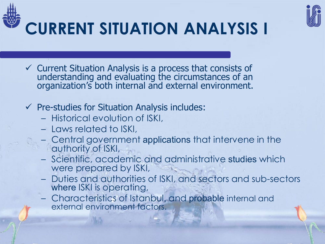



- $\checkmark$  Current Situation Analysis is a process that consists of understanding and evaluating the circumstances of an organization's both internal and external environment.
- $\checkmark$  Pre-studies for Situation Analysis includes:
	- Historical evolution of ISKI,
	- Laws related to ISKI,
	- Central government applications that intervene in the authority of ISKI,
	- Scientific, academic and administrative studies which were prepared by ISKI,
	- Duties and authorities of ISKI, and sectors and sub-sectors where ISKI is operating,
	- Characteristics of Istanbul, and probable internal and external environment factors.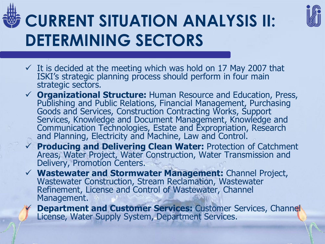



- $\checkmark$  It is decided at the meeting which was hold on 17 May 2007 that ISKI's strategic planning process should perform in four main strategic sectors.
- **Organizational Structure:** Human Resource and Education, Press, Publishing and Public Relations, Financial Management, Purchasing Goods and Services, Construction Contracting Works, Support Services, Knowledge and Document Management, Knowledge and Communication Technologies, Estate and Expropriation, Research and Planning, Electricity and Machine, Law and Control.
- **Producing and Delivering Clean Water:** Protection of Catchment Areas, Water Project, Water Construction, Water Transmission and Delivery, Promotion Centers.
- **Wastewater and Stormwater Management:** Channel Project, Wastewater Construction, Stream Reclamation, Wastewater<br>Refinement, License and Control of Wastewater, Channel Management.
	- **Department and Customer Services: Customer Services, Channel** License, Water Supply System, Department Services.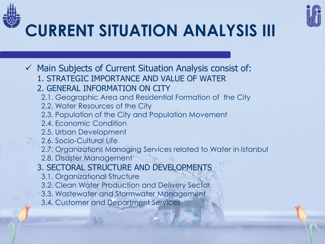



## **CURRENT SITUATION ANALYSIS III**

 $\checkmark$  Main Subjects of Current Situation Analysis consist of: 1. STRATEGIC IMPORTANCE AND VALUE OF WATER 2. GENERAL INFORMATION ON CITY 2.1. Geographic Area and Residential Formation of the City 2.2. Water Resources of the City 2.3. Population of the City and Population Movement 2.4. Economic Condition 2.5. Urban Development 2.6. Socio-Cultural Life 2.7. Organizations Managing Services related to Water in Istanbul 2.8. Disaster Management 3. SECTORAL STRUCTURE AND DEVELOPMENTS 3.1. Organizational Structure 3.2. Clean Water Production and Delivery Sector 3.3. Wastewater and Stormwater Management 3.4. Customer and Department Services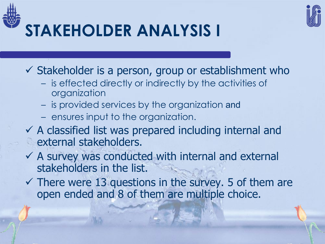

 $\checkmark$  Stakeholder is a person, group or establishment who

- is effected directly or indirectly by the activities of organization
- is provided services by the organization and
- ensures input to the organization.
- $\checkmark$  A classified list was prepared including internal and **external stakeholders.**
- $\checkmark$  A survey was conducted with internal and external stakeholders in the list.
- $\checkmark$  There were 13 questions in the survey. 5 of them are open ended and 8 of them are multiple choice.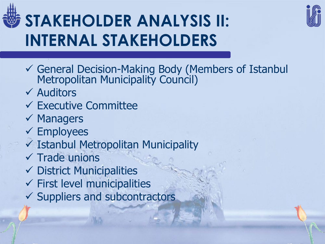## **STAKEHOLDER ANALYSIS II: INTERNAL STAKEHOLDERS**



- General Decision-Making Body (Members of Istanbul Metropolitan Municipality Council)
- $\checkmark$  Auditors
- $\checkmark$  Executive Committee
- $\checkmark$  Managers
- $\checkmark$  Employees
- $\checkmark$  Istanbul Metropolitan Municipality
- $\checkmark$  Trade unions
- $\checkmark$  District Municipalities
- $\checkmark$  First level municipalities
- $\checkmark$  Suppliers and subcontractors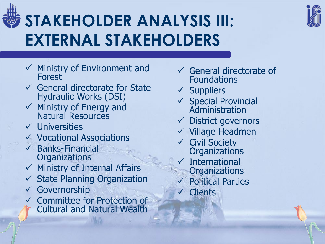

### **STAKEHOLDER ANALYSIS III: EXTERNAL STAKEHOLDERS**

- $\checkmark$  Ministry of Environment and Forest
- $\checkmark$  General directorate for State Hydraulic Works (DSI)
- $\checkmark$  Ministry of Energy and Natural Resources
- $\checkmark$  Universities
- Vocational Associations
- $\checkmark$  Banks-Financial **Organizations**
- $\checkmark$  Ministry of Internal Affairs
- $\checkmark$  State Planning Organization
- Governorship
- Committee for Protection of Cultural and Natural Wealth
- $\checkmark$  General directorate of Foundations
- $\checkmark$  Suppliers
- $\checkmark$  Special Provincial Administration
- $\checkmark$  District governors
- $\checkmark$  Village Headmen
- $\checkmark$  Civil Society **Organizations**
- $\times$  International **Organizations**
- Political Parties
- **Clients**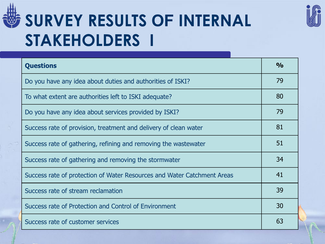

### **SURVEY RESULTS OF INTERNAL STAKEHOLDERS I**

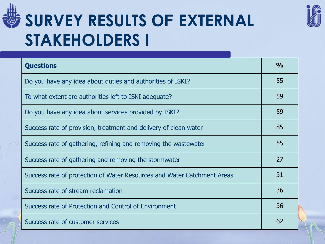

### **SURVEY RESULTS OF EXTERNAL STAKEHOLDERS I**



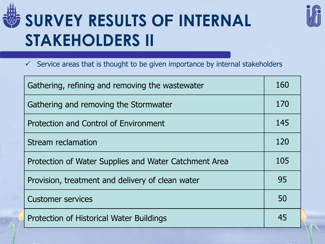

### **SURVEY RESULTS OF INTERNAL STAKEHOLDERS II**



 $\checkmark$  Service areas that is thought to be given importance by internal stakeholders

| Gathering, refining and removing the wastewater       |     |  |  |  |  |
|-------------------------------------------------------|-----|--|--|--|--|
| Gathering and removing the Stormwater                 | 170 |  |  |  |  |
| Protection and Control of Environment                 | 145 |  |  |  |  |
| Stream reclamation                                    | 120 |  |  |  |  |
| Protection of Water Supplies and Water Catchment Area | 105 |  |  |  |  |
| Provision, treatment and delivery of clean water      | 95  |  |  |  |  |
| <b>Customer services</b>                              | 50  |  |  |  |  |
| Protection of Historical Water Buildings              | 45  |  |  |  |  |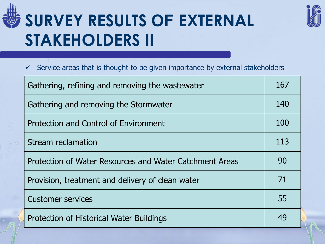

### **SURVEY RESULTS OF EXTERNAL STAKEHOLDERS II**



#### $\checkmark$  Service areas that is thought to be given importance by external stakeholders

| Gathering, refining and removing the wastewater         |     |  |  |  |  |
|---------------------------------------------------------|-----|--|--|--|--|
| Gathering and removing the Stormwater                   |     |  |  |  |  |
| Protection and Control of Environment                   | 100 |  |  |  |  |
| Stream reclamation                                      | 113 |  |  |  |  |
| Protection of Water Resources and Water Catchment Areas | 90  |  |  |  |  |
| Provision, treatment and delivery of clean water        | 71  |  |  |  |  |
| <b>Customer services</b>                                | 55  |  |  |  |  |
| Protection of Historical Water Buildings                | 49  |  |  |  |  |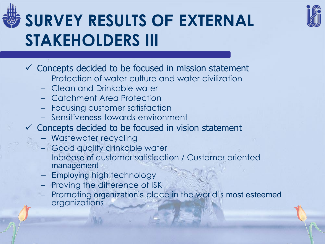

## **SURVEY RESULTS OF EXTERNAL STAKEHOLDERS III**

- $\checkmark$  Concepts decided to be focused in mission statement
	- Protection of water culture and water civilization
	- Clean and Drinkable water
	- Catchment Area Protection
	- Focusing customer satisfaction
	- Sensitiveness towards environment
- $\checkmark$  Concepts decided to be focused in vision statement
	- Wastewater recycling
	- Good quality drinkable water
	- Increase of customer satisfaction / Customer oriented management
	- Employing high technology
	- Proving the difference of ISKI
	- Promoting organization's place in the world's most esteemed organizations

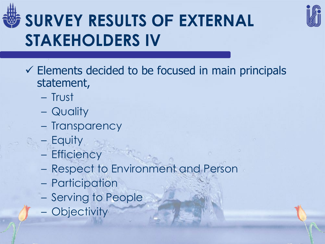

## **SURVEY RESULTS OF EXTERNAL STAKEHOLDERS IV**



- Trust
- Quality
- Transparency
- Equity
- Efficiency
- Respect to Environment and Person
- Participation
- Serving to People
- Objectivity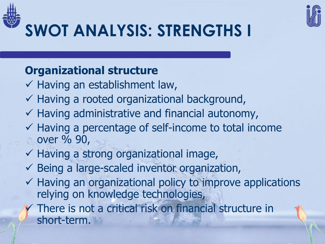



## **SWOT ANALYSIS: STRENGTHS I**

### **Organizational structure**

- $\checkmark$  Having an establishment law,
- $\checkmark$  Having a rooted organizational background,
- $\checkmark$  Having administrative and financial autonomy,
- $\checkmark$  Having a percentage of self-income to total income over % 90,
- $\checkmark$  Having a strong organizational image,
- $\checkmark$  Being a large-scaled inventor organization,
- $\checkmark$  Having an organizational policy to improve applications relying on knowledge technologies,
	- There is not a critical risk on financial structure in short-term.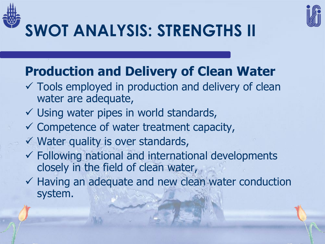



## **SWOT ANALYSIS: STRENGTHS II**

### **Production and Delivery of Clean Water**

- $\checkmark$  Tools employed in production and delivery of clean water are adequate,
- $\checkmark$  Using water pipes in world standards,
- $\checkmark$  Competence of water treatment capacity,
- $\checkmark$  Water quality is over standards,
- $\checkmark$  Following national and international developments closely in the field of clean water,
- $\checkmark$  Having an adequate and new clean water conduction system.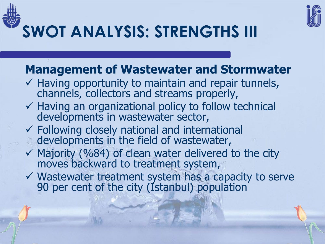



### **Management of Wastewater and Stormwater**

- $\checkmark$  Having opportunity to maintain and repair tunnels, channels, collectors and streams properly,
- $\checkmark$  Having an organizational policy to follow technical developments in wastewater sector,
- $\checkmark$  Following closely national and international developments in the field of wastewater,
- $\checkmark$  Majority (%84) of clean water delivered to the city moves backward to treatment system,
- $\checkmark$  Wastewater treatment system has a capacity to serve 90 per cent of the city (Istanbul) population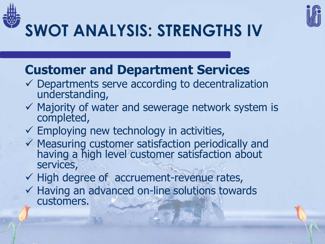



## **SWOT ANALYSIS: STRENGTHS IV**

### **Customer and Department Services**

- $\checkmark$  Departments serve according to decentralization understanding,
- $\checkmark$  Majority of water and sewerage network system is completed,
- $\checkmark$  Employing new technology in activities,
- $\checkmark$  Measuring customer satisfaction periodically and having a high level customer satisfaction about services,
- $\checkmark$  High degree of accruement-revenue rates,
- $\checkmark$  Having an advanced on-line solutions towards customers.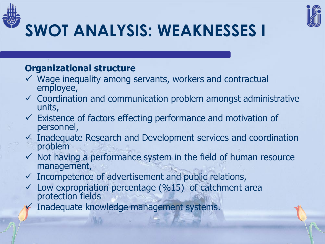



## **SWOT ANALYSIS: WEAKNESSES I**

#### **Organizational structure**

- $\checkmark$  Wage inequality among servants, workers and contractual employee,
- $\checkmark$  Coordination and communication problem amongst administrative units,
- $\checkmark$  Existence of factors effecting performance and motivation of personnel,
- $\checkmark$  Inadequate Research and Development services and coordination problem
- $\checkmark$  Not having a performance system in the field of human resource management,
- $\checkmark$  Incompetence of advertisement and public relations,
- $\checkmark$  Low expropriation percentage (%15) of catchment area protection fields
- Inadequate knowledge management systems.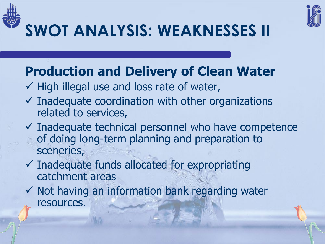



### **SWOT ANALYSIS: WEAKNESSES II**

### **Production and Delivery of Clean Water**

- $\checkmark$  High illegal use and loss rate of water,
- $\checkmark$  Inadequate coordination with other organizations related to services,
- $\checkmark$  Inadequate technical personnel who have competence of doing long-term planning and preparation to sceneries,
- $\checkmark$  Inadequate funds allocated for expropriating catchment areas
- $\checkmark$  Not having an information bank regarding water resources.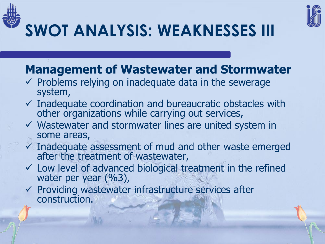



## **SWOT ANALYSIS: WEAKNESSES III**

### **Management of Wastewater and Stormwater**

- $\checkmark$  Problems relying on inadequate data in the sewerage system,
- $\checkmark$  Inadequate coordination and bureaucratic obstacles with other organizations while carrying out services,
- $\checkmark$  Wastewater and stormwater lines are united system in some areas,
- $\checkmark$  Inadequate assessment of mud and other waste emerged after the treatment of wastewater,
- $\checkmark$  Low level of advanced biological treatment in the refined water per year (%3),
- $\checkmark$  Providing wastewater infrastructure services after construction.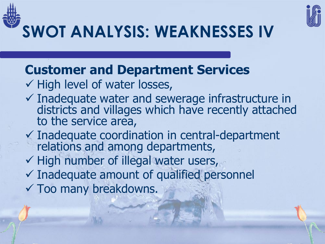

**SWOT ANALYSIS: WEAKNESSES IV**

### **Customer and Department Services**

- $\checkmark$  High level of water losses,
- $\checkmark$  Inadequate water and sewerage infrastructure in districts and villages which have recently attached to the service area,
- Inadequate coordination in central-department relations and among departments,
- $\checkmark$  High number of illegal water users,
- $\checkmark$  Inadequate amount of qualified personnel
- Too many breakdowns.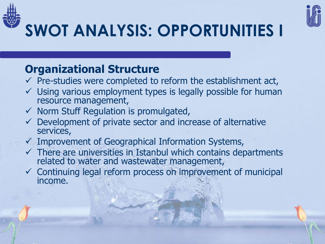



## **SWOT ANALYSIS: OPPORTUNITIES I**

### **Organizational Structure**

- $\checkmark$  Pre-studies were completed to reform the establishment act,
- $\checkmark$  Using various employment types is legally possible for human resource management,
- $\checkmark$  Norm Stuff Regulation is promulgated,
- $\checkmark$  Development of private sector and increase of alternative services,
- $\checkmark$  Improvement of Geographical Information Systems,
- $\checkmark$  There are universities in Istanbul which contains departments related to water and wastewater management,
- $\checkmark$  Continuing legal reform process on improvement of municipal income.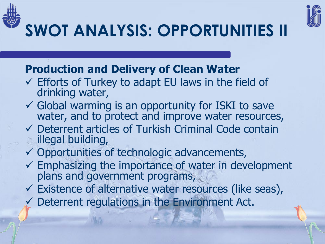



## **SWOT ANALYSIS: OPPORTUNITIES II**

### **Production and Delivery of Clean Water**

- $\checkmark$  Efforts of Turkey to adapt EU laws in the field of drinking water,
- Global warming is an opportunity for ISKI to save water, and to protect and improve water resources,
- Deterrent articles of Turkish Criminal Code contain illegal building,
- $\checkmark$  Opportunities of technologic advancements,
- $\checkmark$  Emphasizing the importance of water in development plans and government programs,
- Existence of alternative water resources (like seas),
- $\checkmark$  Deterrent regulations in the Environment Act.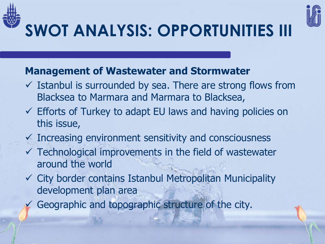



## **SWOT ANALYSIS: OPPORTUNITIES III**

#### **Management of Wastewater and Stormwater**

- $\checkmark$  Istanbul is surrounded by sea. There are strong flows from Blacksea to Marmara and Marmara to Blacksea,
- $\checkmark$  Efforts of Turkey to adapt EU laws and having policies on this issue,
- $\checkmark$  Increasing environment sensitivity and consciousness
- $\checkmark$  Technological improvements in the field of wastewater around the world
- $\checkmark$  City border contains Istanbul Metropolitan Municipality development plan area
	- Geographic and topographic structure of the city.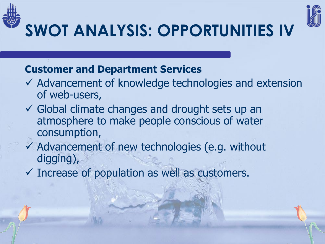



# **SWOT ANALYSIS: OPPORTUNITIES IV**

#### **Customer and Department Services**

- $\checkmark$  Advancement of knowledge technologies and extension of web-users,
- $\checkmark$  Global climate changes and drought sets up an atmosphere to make people conscious of water consumption,
- $\checkmark$  Advancement of new technologies (e.g. without digging),
- $\checkmark$  Increase of population as well as customers.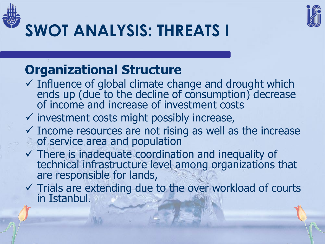



## **SWOT ANALYSIS: THREATS I**

### **Organizational Structure**

- $\checkmark$  Influence of global climate change and drought which ends up (due to the decline of consumption) decrease of income and increase of investment costs
- $\checkmark$  investment costs might possibly increase,
- $\checkmark$  Income resources are not rising as well as the increase of service area and population
- $\checkmark$  There is inadequate coordination and inequality of technical infrastructure level among organizations that are responsible for lands,
- $\checkmark$  Trials are extending due to the over workload of courts in Istanbul.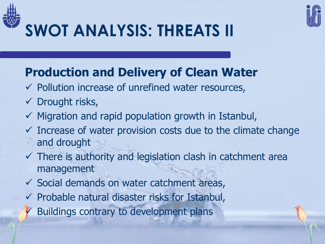



### **SWOT ANALYSIS: THREATS II**

### **Production and Delivery of Clean Water**

- $\checkmark$  Pollution increase of unrefined water resources,
- $\checkmark$  Drought risks,
- $\checkmark$  Migration and rapid population growth in Istanbul,
- $\checkmark$  Increase of water provision costs due to the climate change and drought
- $\checkmark$  There is authority and legislation clash in catchment area management
- $\checkmark$  Social demands on water catchment areas,
- $\checkmark$  Probable natural disaster risks for Istanbul,
	- Buildings contrary to development plans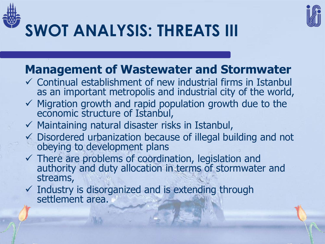



### **SWOT ANALYSIS: THREATS III**

### **Management of Wastewater and Stormwater**

- $\checkmark$  Continual establishment of new industrial firms in Istanbul as an important metropolis and industrial city of the world,
- $\checkmark$  Migration growth and rapid population growth due to the economic structure of Istanbul,
- $\checkmark$  Maintaining natural disaster risks in Istanbul,
- $\checkmark$  Disordered urbanization because of illegal building and not obeying to development plans
- $\checkmark$  There are problems of coordination, legislation and authority and duty allocation in terms of stormwater and streams,
- $\checkmark$  Industry is disorganized and is extending through settlement area.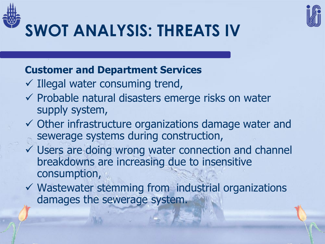



### **SWOT ANALYSIS: THREATS IV**

#### **Customer and Department Services**

- $\checkmark$  Illegal water consuming trend,
- $\checkmark$  Probable natural disasters emerge risks on water supply system,
- $\checkmark$  Other infrastructure organizations damage water and sewerage systems during construction,
- Users are doing wrong water connection and channel breakdowns are increasing due to insensitive consumption,
- $\checkmark$  Wastewater stemming from industrial organizations damages the sewerage system.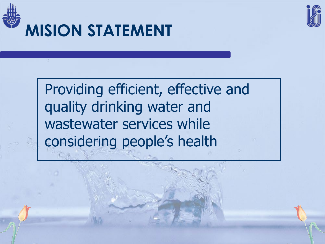



### **MISION STATEMENT**

Providing efficient, effective and quality drinking water and wastewater services while considering people's health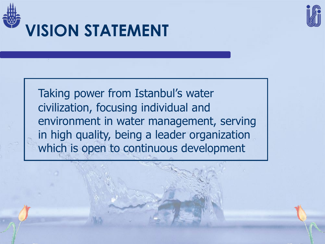



Taking power from Istanbul's water civilization, focusing individual and environment in water management, serving in high quality, being a leader organization which is open to continuous development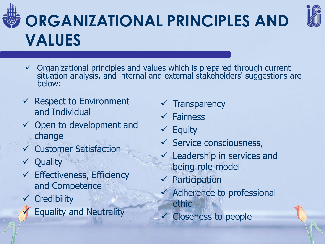## **ORGANIZATIONAL PRINCIPLES AND VALUES**



- $\checkmark$  Organizational principles and values which is prepared through current situation analysis, and internal and external stakeholders' suggestions are below:
- $\checkmark$  Respect to Environment and Individual
- $\checkmark$  Open to development and change
- Customer Satisfaction
- $\checkmark$  Quality
- $\checkmark$  Effectiveness, Efficiency and Competence
- **Credibility** 
	- Equality and Neutrality
- **Transparency**
- Fairness
- $\times$  Equity
- $\checkmark$  Service consciousness,
- Leadership in services and being role-model
- Participation
- $\checkmark$  Adherence to professional ethic
- Closeness to people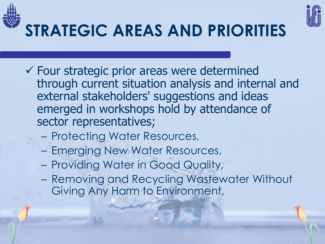

## **STRATEGIC AREAS AND PRIORITIES**

- $\checkmark$  Four strategic prior areas were determined through current situation analysis and internal and external stakeholders' suggestions and ideas emerged in workshops hold by attendance of sector representatives;
	- Protecting Water Resources,
	- Emerging New Water Resources,
	- Providing Water in Good Quality,
	- Removing and Recycling Wastewater Without Giving Any Harm to Environment,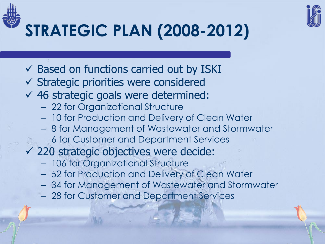

## **STRATEGIC PLAN (2008-2012)**

- $\checkmark$  Based on functions carried out by ISKI
- $\checkmark$  Strategic priorities were considered
- $46$  strategic goals were determined:
	- 22 for Organizational Structure
	- 10 for Production and Delivery of Clean Water
	- 8 for Management of Wastewater and Stormwater
	- 6 for Customer and Department Services
- $\checkmark$  220 strategic objectives were decide:
	- 106 for Organizational Structure
	- 52 for Production and Delivery of Clean Water
	- 34 for Management of Wastewater and Stormwater
	- 28 for Customer and Department Services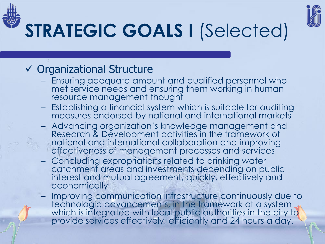

# **STRATEGIC GOALS I** (Selected)

### $\checkmark$  Organizational Structure

- Ensuring adequate amount and qualified personnel who met service needs and ensuring them working in human resource management thought
- Establishing a financial system which is suitable for auditing measures endorsed by national and international markets
- Advancing organization's knowledge management and Research & Development activities in the framework of national and international collaboration and improving effectiveness of management processes and services
- Concluding expropriations related to drinking water catchment areas and investments depending on public interest and mutual agreement, quickly, effectively and **economically**
- Improving communication infrastructure continuously due to technologic advancements, in the framework of a system which is integrated with local public authorities in the city to provide services effectively, efficiently and 24 hours a day.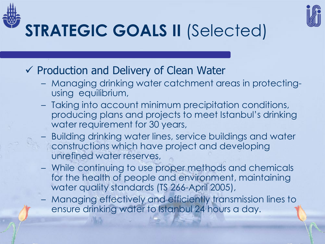

## **STRATEGIC GOALS II** (Selected)

- $\checkmark$  Production and Delivery of Clean Water
	- Managing drinking water catchment areas in protectingusing equilibrium,
	- Taking into account minimum precipitation conditions, producing plans and projects to meet Istanbul's drinking water requirement for 30 years,
	- Building drinking water lines, service buildings and water constructions which have project and developing unrefined water reserves,
	- While continuing to use proper methods and chemicals for the health of people and environment, maintaining water quality standards (TS 266-April 2005),
	- Managing effectively and efficiently transmission lines to ensure drinking water to Istanbul 24 hours a day.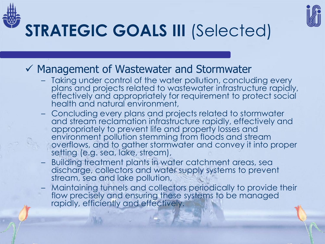

## **STRATEGIC GOALS III** (Selected)

- $\checkmark$  Management of Wastewater and Stormwater
	- Taking under control of the water pollution, concluding every plans and projects related to wastewater infrastructure rapidly, effectively and appropriately for requirement to protect social health and natural environment,
	- Concluding every plans and projects related to stormwater and stream reclamation infrastructure rapidly, effectively and appropriately to prevent life and property losses and environment pollution stemming from floods and stream overflows, and to gather stormwater and convey it into proper setting (e.g. sea, lake, stream),
	- Building treatment plants in water catchment areas, sea discharge, collectors and water supply systems to prevent stream, sea and lake pollution,
	- Maintaining tunnels and collectors periodically to provide their flow precisely and ensuring these systems to be managed rapidly, efficiently and effectively.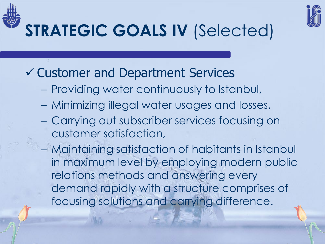

## **STRATEGIC GOALS IV** (Selected)

### Customer and Department Services

- Providing water continuously to Istanbul,
- Minimizing illegal water usages and losses,
- Carrying out subscriber services focusing on customer satisfaction,
- Maintaining satisfaction of habitants in Istanbul in maximum level by employing modern public relations methods and answering every demand rapidly with a structure comprises of focusing solutions and carrying difference.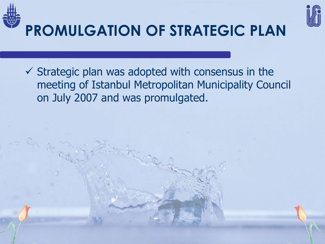



## **PROMULGATION OF STRATEGIC PLAN**

 $\checkmark$  Strategic plan was adopted with consensus in the meeting of Istanbul Metropolitan Municipality Council on July 2007 and was promulgated.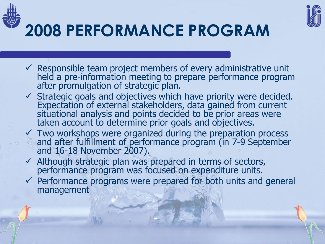



- $\checkmark$  Responsible team project members of every administrative unit held a pre-information meeting to prepare performance program after promulgation of strategic plan.
- $\checkmark$  Strategic goals and objectives which have priority were decided. Expectation of external stakeholders, data gained from current situational analysis and points decided to be prior areas were taken account to determine prior goals and objectives.
- $\checkmark$  Two workshops were organized during the preparation process and after fulfillment of performance program (in 7-9 September and 16-18 November 2007).
- $\checkmark$  Although strategic plan was prepared in terms of sectors, performance program was focused on expenditure units.
- $\checkmark$  Performance programs were prepared for both units and general management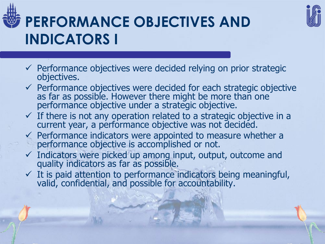

### **PERFORMANCE OBJECTIVES AND INDICATORS I**



- $\checkmark$  Performance objectives were decided relying on prior strategic objectives.
- $\checkmark$  Performance objectives were decided for each strategic objective as far as possible. However there might be more than one performance objective under a strategic objective.
- $\checkmark$  If there is not any operation related to a strategic objective in a current year, a performance objective was not decided.
- $\checkmark$  Performance indicators were appointed to measure whether a performance objective is accomplished or not.
- $\checkmark$  Indicators were picked up among input, output, outcome and quality indicators as far as possible.
- $\checkmark$  It is paid attention to performance indicators being meaningful, valid, confidential, and possible for accountability.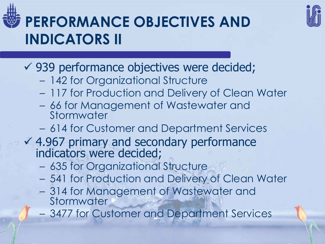





- 142 for Organizational Structure
- 117 for Production and Delivery of Clean Water
- 66 for Management of Wastewater and Stormwater
- 614 for Customer and Department Services
- $4.967$  primary and secondary performance indicators were decided;
	- 635 for Organizational Structure
	- 541 for Production and Delivery of Clean Water
	- 314 for Management of Wastewater and **Stormwater**
	- 3477 for Customer and Department Services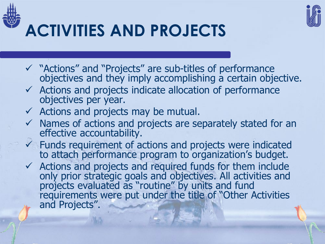



### **ACTIVITIES AND PROJECTS**

- "Actions" and "Projects" are sub-titles of performance objectives and they imply accomplishing a certain objective.
- $\checkmark$  Actions and projects indicate allocation of performance objectives per year.
- $\checkmark$  Actions and projects may be mutual.
- $\checkmark$  Names of actions and projects are separately stated for an effective accountability.
- $\checkmark$  Funds requirement of actions and projects were indicated to attach performance program to organization's budget.
- $\checkmark$  Actions and projects and required funds for them include only prior strategic goals and objectives. All activities and projects evaluated as "routine" by units and fund requirements were put under the title of "Other Activities and Projects".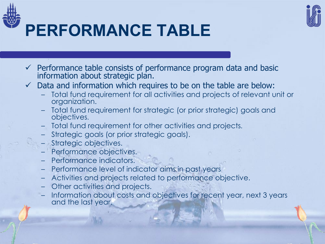

### **PERFORMANCE TABLE**

- $\checkmark$  Performance table consists of performance program data and basic information about strategic plan.
- Data and information which requires to be on the table are below:
	- Total fund requirement for all activities and projects of relevant unit or organization.
	- Total fund requirement for strategic (or prior strategic) goals and objectives.
	- Total fund requirement for other activities and projects.
	- Strategic goals (or prior strategic goals).
	- Strategic objectives.
	- Performance objectives.
	- Performance indicators.
	- Performance level of indicator aims in past years
	- Activities and projects related to performance objective.
	- Other activities and projects.
	- Information about costs and objectives for recent year, next 3 years and the last year.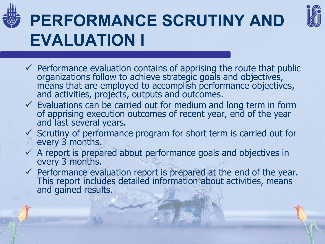

### **PERFORMANCE SCRUTINY AND EVALUATION I**



- $\checkmark$  Performance evaluation contains of apprising the route that public organizations follow to achieve strategic goals and objectives, means that are employed to accomplish performance objectives, and activities, projects, outputs and outcomes.
- $\checkmark$  Evaluations can be carried out for medium and long term in form of apprising execution outcomes of recent year, end of the year and last several years.
- $\checkmark$  Scrutiny of performance program for short term is carried out for every 3 months.
- $\checkmark$  A report is prepared about performance goals and objectives in every 3 months.
- $\checkmark$  Performance evaluation report is prepared at the end of the year. This report includes detailed information about activities, means and gained results.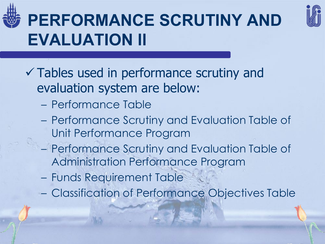

### **PERFORMANCE SCRUTINY AND EVALUATION II**



- Tables used in performance scrutiny and evaluation system are below:
	- Performance Table
	- Performance Scrutiny and Evaluation Table of Unit Performance Program
	- Performance Scrutiny and Evaluation Table of Administration Performance Program
	- Funds Requirement Table
	- Classification of Performance Objectives Table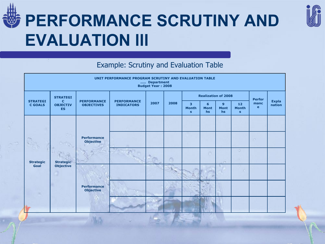

### **PERFORMANCE SCRUTINY AND EVALUATION III**



#### Example: Scrutiny and Evaluation Table

| UNIT PERFORMANCE PROGRAM SCRUTINY AND EVALUATION TABLE<br>Department<br><b>Budget Year: 2008</b> |                                                             |                                         |                                         |      |      |                                                         |                        |                                   |                                                 |                      |                        |
|--------------------------------------------------------------------------------------------------|-------------------------------------------------------------|-----------------------------------------|-----------------------------------------|------|------|---------------------------------------------------------|------------------------|-----------------------------------|-------------------------------------------------|----------------------|------------------------|
| <b>STRATEGI</b><br><b>C GOALS</b>                                                                | <b>STRATEGI</b><br><b>C</b><br><b>OBJECTIV</b><br><b>ES</b> | <b>PERFORMANCE</b><br><b>OBJECTIVES</b> | <b>PERFORMANCE</b><br><b>INDICATORS</b> | 2007 | 2008 | <b>Realization of 2008</b>                              |                        |                                   |                                                 | <b>Perfor</b>        |                        |
|                                                                                                  |                                                             |                                         |                                         |      |      | $\overline{\mathbf{3}}$<br><b>Month</b><br>$\mathbf{s}$ | 6<br><b>Mont</b><br>hs | $\mathbf{9}$<br><b>Mont</b><br>hs | 12 <sub>2</sub><br><b>Month</b><br>$\mathbf{s}$ | manc<br>$\mathbf{e}$ | <b>Expla</b><br>nation |
|                                                                                                  | <b>Strategic</b><br><b>Objective</b>                        |                                         |                                         |      |      |                                                         |                        |                                   |                                                 |                      |                        |
| <b>Strategic</b><br>Goal                                                                         |                                                             | <b>Performance</b><br><b>Objective</b>  |                                         |      |      |                                                         |                        |                                   |                                                 | m                    |                        |
|                                                                                                  |                                                             |                                         |                                         |      |      |                                                         | <b>O</b>               | 17.                               | $\circ$<br>o No                                 |                      |                        |
|                                                                                                  |                                                             |                                         |                                         |      |      |                                                         |                        |                                   |                                                 |                      |                        |
|                                                                                                  |                                                             | <b>Performance</b><br><b>Objective</b>  |                                         |      |      |                                                         |                        |                                   |                                                 |                      |                        |
|                                                                                                  |                                                             |                                         |                                         |      |      |                                                         |                        |                                   |                                                 |                      |                        |

高高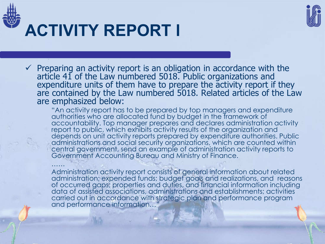



### **ACTIVITY REPORT I**

 $\checkmark$  Preparing an activity report is an obligation in accordance with the article 41 of the Law numbered 5018. Public organizations and expenditure units of them have to prepare the activity report if they are contained by the Law numbered 5018. Related articles of the Law are emphasized below:

"An activity report has to be prepared by top managers and expenditure authorities who are allocated fund by budget in the framework of accountability. Top manager prepares and declares administration activity report to public, which exhibits activity results of the organization and depends on unit activity reports prepared by expenditure authorities. Public administrations and social security organizations, which are counted within central government, send an example of administration activity reports to Government Accounting Bureau and Ministry of Finance.

…… Administration activity report consists of general information about related administration; expended funds; budget goals and realizations, and reasons of occurred gaps; properties and duties, and financial information including data of assisted associations, administrations and establishments; activities carried out in accordance with strategic plan and performance program and performance information..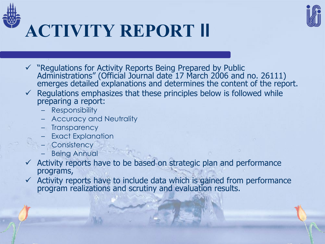



# **ACTIVITY REPORT II**

- $\checkmark$  "Regulations for Activity Reports Being Prepared by Public Administrations" (Official Journal date 17 March 2006 and no. 26111) emerges detailed explanations and determines the content of the report.
- $\checkmark$  Regulations emphasizes that these principles below is followed while preparing a report:
	- Responsibility
	- Accuracy and Neutrality
	- Transparency
	- Exact Explanation
	- Consistency
	- **Being Annual**
- $\checkmark$  Activity reports have to be based on strategic plan and performance programs,
- $\checkmark$  Activity reports have to include data which is gained from performance program realizations and scrutiny and evaluation results.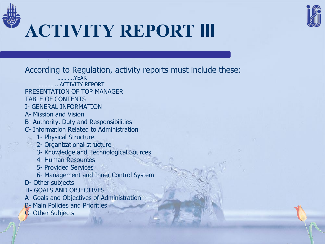



# **ACTIVITY REPORT III**

According to Regulation, activity reports must include these:

- ………..YEAR
- **MACTIVITY REPORT**
- PRESENTATION OF TOP MANAGER
- TABLE OF CONTENTS
- I- GENERAL INFORMATION
- A- Mission and Vision
- B- Authority, Duty and Responsibilities
- C- Information Related to Administration
	- 1- Physical Structure
	- 2- Organizational structure
	- 3- Knowledge and Technological Sources
	- 4- Human Resources
	- 5- Provided Services
	- 6- Management and Inner Control System
- D- Other subjects
- II- GOALS AND OBJECTIVES
- A- Goals and Objectives of Administration
- **B** Main Policies and Priorities
- C- Other Subjects